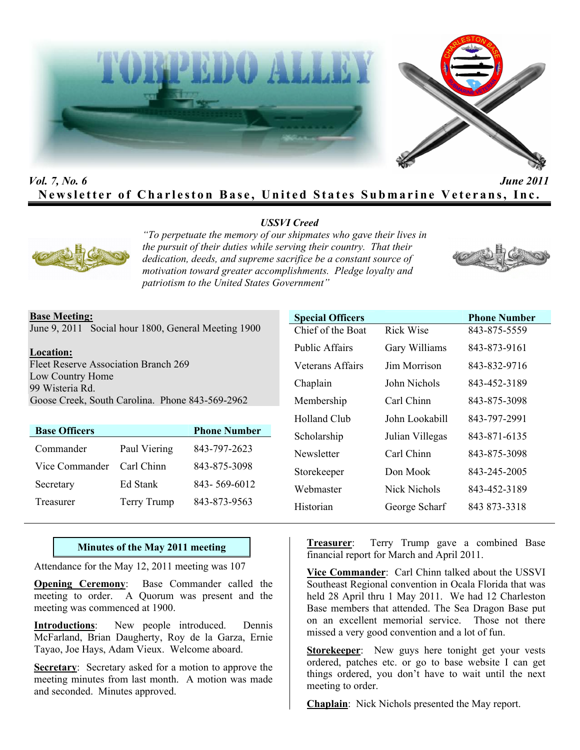



# *USSVI Creed*



*"To perpetuate the memory of our shipmates who gave their lives in the pursuit of their duties while serving their country. That their dedication, deeds, and supreme sacrifice be a constant source of motivation toward greater accomplishments. Pledge loyalty and patriotism to the United States Government"* 



## **Base Meeting:**

June 9, 2011 Social hour 1800, General Meeting 1900

#### **Location:**

Fleet Reserve Association Branch 269 Low Country Home 99 Wisteria Rd. Goose Creek, South Carolina. Phone 843-569-2962

| <b>Base Officers</b> |              | <b>Phone Number</b> |
|----------------------|--------------|---------------------|
| Commander            | Paul Viering | 843-797-2623        |
| Vice Commander       | Carl Chinn   | 843-875-3098        |
| Secretary            | Ed Stank     | 843-569-6012        |
| Treasurer            | Terry Trump  | 843-873-9563        |

| <b>Special Officers</b> |                 | <b>Phone Number</b> |
|-------------------------|-----------------|---------------------|
| Chief of the Boat       | Rick Wise       | 843-875-5559        |
| <b>Public Affairs</b>   | Gary Williams   | 843-873-9161        |
| Veterans Affairs        | Jim Morrison    | 843-832-9716        |
| Chaplain                | John Nichols    | 843-452-3189        |
| Membership              | Carl Chinn      | 843-875-3098        |
| Holland Club            | John Lookabill  | 843-797-2991        |
| Scholarship             | Julian Villegas | 843-871-6135        |
| Newsletter              | Carl Chinn      | 843-875-3098        |
| Storekeeper             | Don Mook        | 843-245-2005        |
| Webmaster               | Nick Nichols    | 843-452-3189        |
| Historian               | George Scharf   | 843 873-3318        |

## **Minutes of the May 2011 meeting**

Attendance for the May 12, 2011 meeting was 107

**Opening Ceremony**: Base Commander called the meeting to order. A Quorum was present and the meeting was commenced at 1900.

**Introductions**: New people introduced. Dennis McFarland, Brian Daugherty, Roy de la Garza, Ernie Tayao, Joe Hays, Adam Vieux. Welcome aboard.

**Secretary:** Secretary asked for a motion to approve the meeting minutes from last month. A motion was made and seconded. Minutes approved.

**Treasurer**: Terry Trump gave a combined Base financial report for March and April 2011.

**Vice Commander**: Carl Chinn talked about the USSVI Southeast Regional convention in Ocala Florida that was held 28 April thru 1 May 2011. We had 12 Charleston Base members that attended. The Sea Dragon Base put on an excellent memorial service. Those not there missed a very good convention and a lot of fun.

**Storekeeper**: New guys here tonight get your vests ordered, patches etc. or go to base website I can get things ordered, you don't have to wait until the next meeting to order.

**Chaplain**: Nick Nichols presented the May report.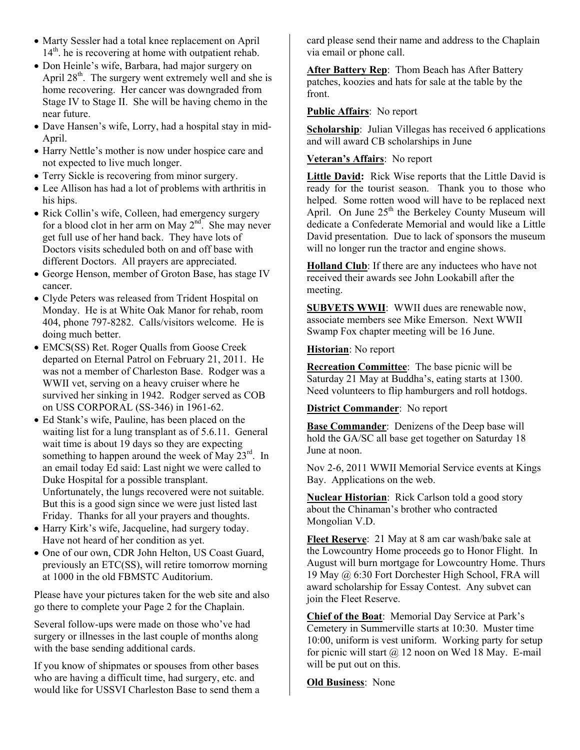- Marty Sessler had a total knee replacement on April  $14<sup>th</sup>$ , he is recovering at home with outpatient rehab.
- Don Heinle's wife, Barbara, had major surgery on April  $28<sup>th</sup>$ . The surgery went extremely well and she is home recovering. Her cancer was downgraded from Stage IV to Stage II. She will be having chemo in the near future.
- Dave Hansen's wife, Lorry, had a hospital stay in mid-April.
- Harry Nettle's mother is now under hospice care and not expected to live much longer.
- Terry Sickle is recovering from minor surgery.
- Lee Allison has had a lot of problems with arthritis in his hips.
- Rick Collin's wife, Colleen, had emergency surgery for a blood clot in her arm on May  $2<sup>nd</sup>$ . She may never get full use of her hand back. They have lots of Doctors visits scheduled both on and off base with different Doctors. All prayers are appreciated.
- George Henson, member of Groton Base, has stage IV cancer.
- Clyde Peters was released from Trident Hospital on Monday. He is at White Oak Manor for rehab, room 404, phone 797-8282. Calls/visitors welcome. He is doing much better.
- EMCS(SS) Ret. Roger Qualls from Goose Creek departed on Eternal Patrol on February 21, 2011. He was not a member of Charleston Base. Rodger was a WWII vet, serving on a heavy cruiser where he survived her sinking in 1942. Rodger served as COB on USS CORPORAL (SS-346) in 1961-62.
- Ed Stank's wife, Pauline, has been placed on the waiting list for a lung transplant as of 5.6.11. General wait time is about 19 days so they are expecting something to happen around the week of May  $23^{\text{rd}}$ . In an email today Ed said: Last night we were called to Duke Hospital for a possible transplant. Unfortunately, the lungs recovered were not suitable. But this is a good sign since we were just listed last Friday. Thanks for all your prayers and thoughts.
- Harry Kirk's wife, Jacqueline, had surgery today. Have not heard of her condition as yet.
- One of our own, CDR John Helton, US Coast Guard, previously an ETC(SS), will retire tomorrow morning at 1000 in the old FBMSTC Auditorium.

Please have your pictures taken for the web site and also go there to complete your Page 2 for the Chaplain.

Several follow-ups were made on those who've had surgery or illnesses in the last couple of months along with the base sending additional cards.

If you know of shipmates or spouses from other bases who are having a difficult time, had surgery, etc. and would like for USSVI Charleston Base to send them a card please send their name and address to the Chaplain via email or phone call.

**After Battery Rep**: Thom Beach has After Battery patches, koozies and hats for sale at the table by the front.

# **Public Affairs**: No report

**Scholarship**: Julian Villegas has received 6 applications and will award CB scholarships in June

# **Veteran's Affairs**: No report

**Little David:** Rick Wise reports that the Little David is ready for the tourist season. Thank you to those who helped. Some rotten wood will have to be replaced next April. On June  $25<sup>th</sup>$  the Berkeley County Museum will dedicate a Confederate Memorial and would like a Little David presentation. Due to lack of sponsors the museum will no longer run the tractor and engine shows.

**Holland Club**: If there are any inductees who have not received their awards see John Lookabill after the meeting.

**SUBVETS WWII**: WWII dues are renewable now, associate members see Mike Emerson. Next WWII Swamp Fox chapter meeting will be 16 June.

# **Historian**: No report

**Recreation Committee**: The base picnic will be Saturday 21 May at Buddha's, eating starts at 1300. Need volunteers to flip hamburgers and roll hotdogs.

# **District Commander**: No report

**Base Commander**: Denizens of the Deep base will hold the GA/SC all base get together on Saturday 18 June at noon.

Nov 2-6, 2011 WWII Memorial Service events at Kings Bay. Applications on the web.

**Nuclear Historian**: Rick Carlson told a good story about the Chinaman's brother who contracted Mongolian V.D.

**Fleet Reserve**: 21 May at 8 am car wash/bake sale at the Lowcountry Home proceeds go to Honor Flight. In August will burn mortgage for Lowcountry Home. Thurs 19 May @ 6:30 Fort Dorchester High School, FRA will award scholarship for Essay Contest. Any subvet can join the Fleet Reserve.

**Chief of the Boat**: Memorial Day Service at Park's Cemetery in Summerville starts at 10:30. Muster time 10:00, uniform is vest uniform. Working party for setup for picnic will start  $(a)$  12 noon on Wed 18 May. E-mail will be put out on this.

# **Old Business**: None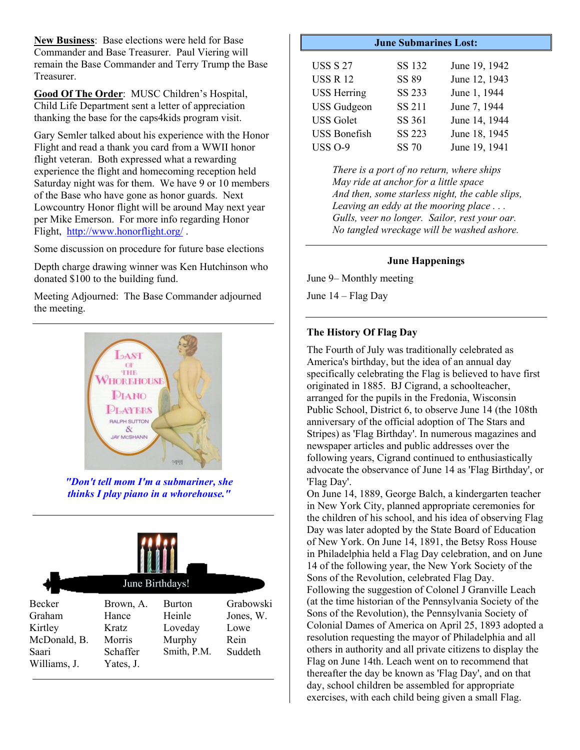**New Business**: Base elections were held for Base Commander and Base Treasurer. Paul Viering will remain the Base Commander and Terry Trump the Base Treasurer.

**Good Of The Order**: MUSC Children's Hospital, Child Life Department sent a letter of appreciation thanking the base for the caps4kids program visit.

Gary Semler talked about his experience with the Honor Flight and read a thank you card from a WWII honor flight veteran. Both expressed what a rewarding experience the flight and homecoming reception held Saturday night was for them. We have 9 or 10 members of the Base who have gone as honor guards. Next Lowcountry Honor flight will be around May next year per Mike Emerson. For more info regarding Honor Flight, http://www.honorflight.org/ .

Some discussion on procedure for future base elections

Depth charge drawing winner was Ken Hutchinson who donated \$100 to the building fund.

Meeting Adjourned: The Base Commander adjourned the meeting.



*"Don't tell mom I'm a submariner, she thinks I play piano in a whorehouse."* 



#### **June Submarines Lost:**

| <b>USS S 27</b>     | SS 132        | June 19, 1942 |
|---------------------|---------------|---------------|
| <b>USS R 12</b>     | SS 89         | June 12, 1943 |
| <b>USS Herring</b>  | SS 233        | June 1, 1944  |
| <b>USS</b> Gudgeon  | SS 211        | June 7, 1944  |
| <b>USS Golet</b>    | SS 361        | June 14, 1944 |
| <b>USS Bonefish</b> | <b>SS 223</b> | June 18, 1945 |
| <b>USS O-9</b>      | <b>SS 70</b>  | June 19, 1941 |
|                     |               |               |

*There is a port of no return, where ships May ride at anchor for a little space And then, some starless night, the cable slips, Leaving an eddy at the mooring place . . . Gulls, veer no longer. Sailor, rest your oar. No tangled wreckage will be washed ashore.* 

#### **June Happenings**

June 9– Monthly meeting

June 14 – Flag Day

#### **The History Of Flag Day**

The Fourth of July was traditionally celebrated as America's birthday, but the idea of an annual day specifically celebrating the Flag is believed to have first originated in 1885. BJ Cigrand, a schoolteacher, arranged for the pupils in the Fredonia, Wisconsin Public School, District 6, to observe June 14 (the 108th anniversary of the official adoption of The Stars and Stripes) as 'Flag Birthday'. In numerous magazines and newspaper articles and public addresses over the following years, Cigrand continued to enthusiastically advocate the observance of June 14 as 'Flag Birthday', or 'Flag Day'.

On June 14, 1889, George Balch, a kindergarten teacher in New York City, planned appropriate ceremonies for the children of his school, and his idea of observing Flag Day was later adopted by the State Board of Education of New York. On June 14, 1891, the Betsy Ross House in Philadelphia held a Flag Day celebration, and on June 14 of the following year, the New York Society of the Sons of the Revolution, celebrated Flag Day. Following the suggestion of Colonel J Granville Leach (at the time historian of the Pennsylvania Society of the Sons of the Revolution), the Pennsylvania Society of Colonial Dames of America on April 25, 1893 adopted a resolution requesting the mayor of Philadelphia and all others in authority and all private citizens to display the Flag on June 14th. Leach went on to recommend that thereafter the day be known as 'Flag Day', and on that day, school children be assembled for appropriate exercises, with each child being given a small Flag.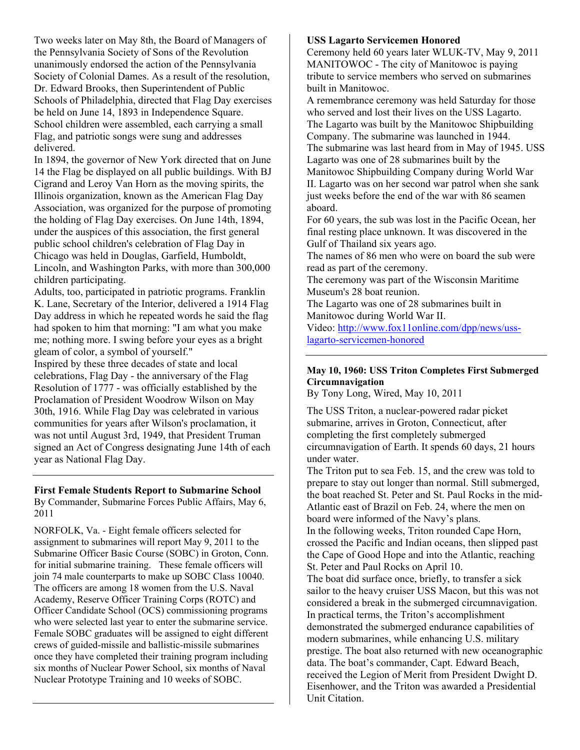Two weeks later on May 8th, the Board of Managers of the Pennsylvania Society of Sons of the Revolution unanimously endorsed the action of the Pennsylvania Society of Colonial Dames. As a result of the resolution, Dr. Edward Brooks, then Superintendent of Public Schools of Philadelphia, directed that Flag Day exercises be held on June 14, 1893 in Independence Square. School children were assembled, each carrying a small Flag, and patriotic songs were sung and addresses delivered.

In 1894, the governor of New York directed that on June 14 the Flag be displayed on all public buildings. With BJ Cigrand and Leroy Van Horn as the moving spirits, the Illinois organization, known as the American Flag Day Association, was organized for the purpose of promoting the holding of Flag Day exercises. On June 14th, 1894, under the auspices of this association, the first general public school children's celebration of Flag Day in Chicago was held in Douglas, Garfield, Humboldt, Lincoln, and Washington Parks, with more than 300,000 children participating.

Adults, too, participated in patriotic programs. Franklin K. Lane, Secretary of the Interior, delivered a 1914 Flag Day address in which he repeated words he said the flag had spoken to him that morning: "I am what you make me; nothing more. I swing before your eyes as a bright gleam of color, a symbol of yourself."

Inspired by these three decades of state and local celebrations, Flag Day - the anniversary of the Flag Resolution of 1777 - was officially established by the Proclamation of President Woodrow Wilson on May 30th, 1916. While Flag Day was celebrated in various communities for years after Wilson's proclamation, it was not until August 3rd, 1949, that President Truman signed an Act of Congress designating June 14th of each year as National Flag Day.

#### **First Female Students Report to Submarine School**  By Commander, Submarine Forces Public Affairs, May 6, 2011

NORFOLK, Va. - Eight female officers selected for assignment to submarines will report May 9, 2011 to the Submarine Officer Basic Course (SOBC) in Groton, Conn. for initial submarine training. These female officers will join 74 male counterparts to make up SOBC Class 10040. The officers are among 18 women from the U.S. Naval Academy, Reserve Officer Training Corps (ROTC) and Officer Candidate School (OCS) commissioning programs who were selected last year to enter the submarine service. Female SOBC graduates will be assigned to eight different crews of guided-missile and ballistic-missile submarines once they have completed their training program including six months of Nuclear Power School, six months of Naval Nuclear Prototype Training and 10 weeks of SOBC.

# **USS Lagarto Servicemen Honored**

Ceremony held 60 years later WLUK-TV, May 9, 2011 MANITOWOC - The city of Manitowoc is paying tribute to service members who served on submarines built in Manitowoc.

A remembrance ceremony was held Saturday for those who served and lost their lives on the USS Lagarto. The Lagarto was built by the Manitowoc Shipbuilding Company. The submarine was launched in 1944. The submarine was last heard from in May of 1945. USS Lagarto was one of 28 submarines built by the Manitowoc Shipbuilding Company during World War II. Lagarto was on her second war patrol when she sank just weeks before the end of the war with 86 seamen aboard.

For 60 years, the sub was lost in the Pacific Ocean, her final resting place unknown. It was discovered in the Gulf of Thailand six years ago.

The names of 86 men who were on board the sub were read as part of the ceremony.

The ceremony was part of the Wisconsin Maritime Museum's 28 boat reunion.

The Lagarto was one of 28 submarines built in Manitowoc during World War II.

Video: http://www.fox11online.com/dpp/news/usslagarto-servicemen-honored

# **May 10, 1960: USS Triton Completes First Submerged Circumnavigation**

By Tony Long, Wired, May 10, 2011

The USS Triton, a nuclear-powered radar picket submarine, arrives in Groton, Connecticut, after completing the first completely submerged circumnavigation of Earth. It spends 60 days, 21 hours under water.

The Triton put to sea Feb. 15, and the crew was told to prepare to stay out longer than normal. Still submerged, the boat reached St. Peter and St. Paul Rocks in the mid-Atlantic east of Brazil on Feb. 24, where the men on board were informed of the Navy's plans.

In the following weeks, Triton rounded Cape Horn, crossed the Pacific and Indian oceans, then slipped past the Cape of Good Hope and into the Atlantic, reaching St. Peter and Paul Rocks on April 10.

The boat did surface once, briefly, to transfer a sick sailor to the heavy cruiser USS Macon, but this was not considered a break in the submerged circumnavigation. In practical terms, the Triton's accomplishment demonstrated the submerged endurance capabilities of modern submarines, while enhancing U.S. military prestige. The boat also returned with new oceanographic data. The boat's commander, Capt. Edward Beach, received the Legion of Merit from President Dwight D. Eisenhower, and the Triton was awarded a Presidential Unit Citation.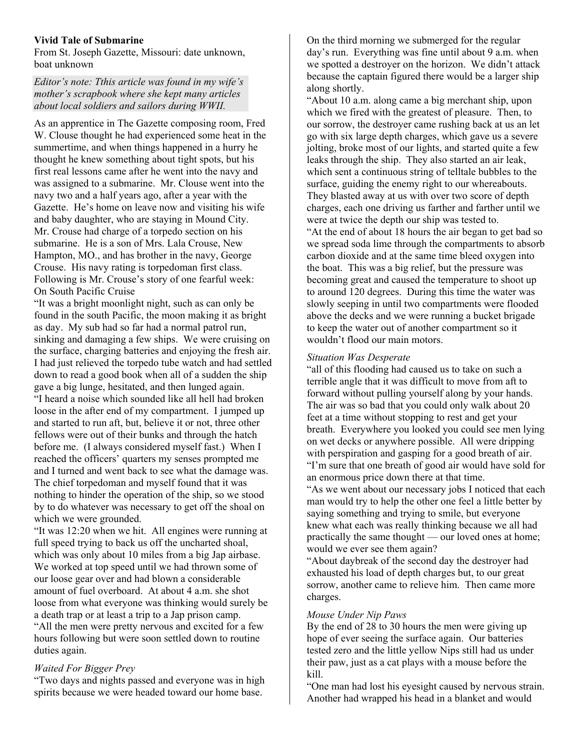## **Vivid Tale of Submarine**

From St. Joseph Gazette, Missouri: date unknown, boat unknown

*Editor's note: Tthis article was found in my wife's mother's scrapbook where she kept many articles about local soldiers and sailors during WWII.* 

As an apprentice in The Gazette composing room, Fred W. Clouse thought he had experienced some heat in the summertime, and when things happened in a hurry he thought he knew something about tight spots, but his first real lessons came after he went into the navy and was assigned to a submarine. Mr. Clouse went into the navy two and a half years ago, after a year with the Gazette. He's home on leave now and visiting his wife and baby daughter, who are staying in Mound City. Mr. Crouse had charge of a torpedo section on his submarine. He is a son of Mrs. Lala Crouse, New Hampton, MO., and has brother in the navy, George Crouse. His navy rating is torpedoman first class. Following is Mr. Crouse's story of one fearful week: On South Pacific Cruise

"It was a bright moonlight night, such as can only be found in the south Pacific, the moon making it as bright as day. My sub had so far had a normal patrol run, sinking and damaging a few ships. We were cruising on the surface, charging batteries and enjoying the fresh air. I had just relieved the torpedo tube watch and had settled down to read a good book when all of a sudden the ship gave a big lunge, hesitated, and then lunged again. "I heard a noise which sounded like all hell had broken loose in the after end of my compartment. I jumped up and started to run aft, but, believe it or not, three other fellows were out of their bunks and through the hatch before me. (I always considered myself fast.) When I reached the officers' quarters my senses prompted me and I turned and went back to see what the damage was. The chief torpedoman and myself found that it was nothing to hinder the operation of the ship, so we stood by to do whatever was necessary to get off the shoal on which we were grounded.

"It was 12:20 when we hit. All engines were running at full speed trying to back us off the uncharted shoal, which was only about 10 miles from a big Jap airbase. We worked at top speed until we had thrown some of our loose gear over and had blown a considerable amount of fuel overboard. At about 4 a.m. she shot loose from what everyone was thinking would surely be a death trap or at least a trip to a Jap prison camp. "All the men were pretty nervous and excited for a few hours following but were soon settled down to routine duties again.

## *Waited For Bigger Prey*

"Two days and nights passed and everyone was in high spirits because we were headed toward our home base.

On the third morning we submerged for the regular day's run. Everything was fine until about 9 a.m. when we spotted a destroyer on the horizon. We didn't attack because the captain figured there would be a larger ship along shortly.

"About 10 a.m. along came a big merchant ship, upon which we fired with the greatest of pleasure. Then, to our sorrow, the destroyer came rushing back at us an let go with six large depth charges, which gave us a severe jolting, broke most of our lights, and started quite a few leaks through the ship. They also started an air leak, which sent a continuous string of telltale bubbles to the surface, guiding the enemy right to our whereabouts. They blasted away at us with over two score of depth charges, each one driving us farther and farther until we were at twice the depth our ship was tested to. "At the end of about 18 hours the air began to get bad so we spread soda lime through the compartments to absorb carbon dioxide and at the same time bleed oxygen into the boat. This was a big relief, but the pressure was becoming great and caused the temperature to shoot up to around 120 degrees. During this time the water was slowly seeping in until two compartments were flooded above the decks and we were running a bucket brigade to keep the water out of another compartment so it wouldn't flood our main motors.

## *Situation Was Desperate*

"all of this flooding had caused us to take on such a terrible angle that it was difficult to move from aft to forward without pulling yourself along by your hands. The air was so bad that you could only walk about 20 feet at a time without stopping to rest and get your breath. Everywhere you looked you could see men lying on wet decks or anywhere possible. All were dripping with perspiration and gasping for a good breath of air. "I'm sure that one breath of good air would have sold for an enormous price down there at that time.

"As we went about our necessary jobs I noticed that each man would try to help the other one feel a little better by saying something and trying to smile, but everyone knew what each was really thinking because we all had practically the same thought — our loved ones at home; would we ever see them again?

"About daybreak of the second day the destroyer had exhausted his load of depth charges but, to our great sorrow, another came to relieve him. Then came more charges.

## *Mouse Under Nip Paws*

By the end of 28 to 30 hours the men were giving up hope of ever seeing the surface again. Our batteries tested zero and the little yellow Nips still had us under their paw, just as a cat plays with a mouse before the kill.

"One man had lost his eyesight caused by nervous strain. Another had wrapped his head in a blanket and would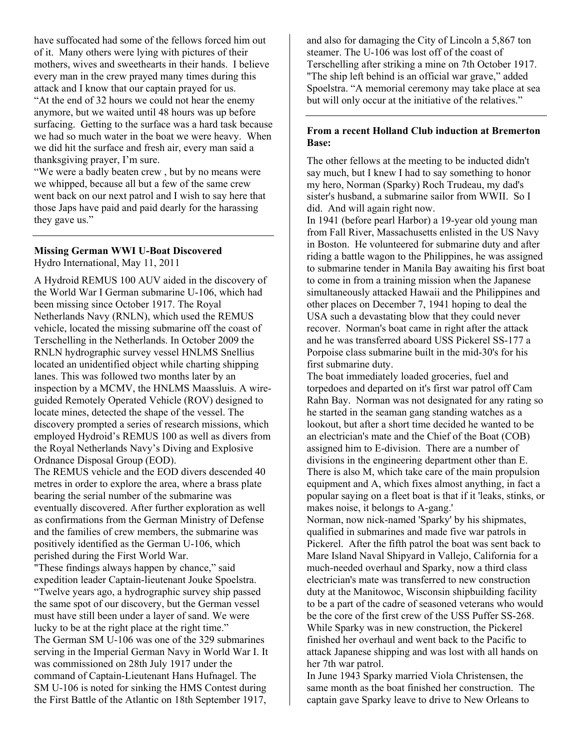have suffocated had some of the fellows forced him out of it. Many others were lying with pictures of their mothers, wives and sweethearts in their hands. I believe every man in the crew prayed many times during this attack and I know that our captain prayed for us. "At the end of 32 hours we could not hear the enemy anymore, but we waited until 48 hours was up before surfacing. Getting to the surface was a hard task because we had so much water in the boat we were heavy. When we did hit the surface and fresh air, every man said a thanksgiving prayer, I'm sure.

"We were a badly beaten crew , but by no means were we whipped, because all but a few of the same crew went back on our next patrol and I wish to say here that those Japs have paid and paid dearly for the harassing they gave us."

# **Missing German WWI U-Boat Discovered**

Hydro International, May 11, 2011

A Hydroid REMUS 100 AUV aided in the discovery of the World War I German submarine U-106, which had been missing since October 1917. The Royal Netherlands Navy (RNLN), which used the REMUS vehicle, located the missing submarine off the coast of Terschelling in the Netherlands. In October 2009 the RNLN hydrographic survey vessel HNLMS Snellius located an unidentified object while charting shipping lanes. This was followed two months later by an inspection by a MCMV, the HNLMS Maassluis. A wireguided Remotely Operated Vehicle (ROV) designed to locate mines, detected the shape of the vessel. The discovery prompted a series of research missions, which employed Hydroid's REMUS 100 as well as divers from the Royal Netherlands Navy's Diving and Explosive Ordnance Disposal Group (EOD).

The REMUS vehicle and the EOD divers descended 40 metres in order to explore the area, where a brass plate bearing the serial number of the submarine was eventually discovered. After further exploration as well as confirmations from the German Ministry of Defense and the families of crew members, the submarine was positively identified as the German U-106, which perished during the First World War.

"These findings always happen by chance," said expedition leader Captain-lieutenant Jouke Spoelstra. "Twelve years ago, a hydrographic survey ship passed the same spot of our discovery, but the German vessel must have still been under a layer of sand. We were lucky to be at the right place at the right time." The German SM U-106 was one of the 329 submarines serving in the Imperial German Navy in World War I. It was commissioned on 28th July 1917 under the command of Captain-Lieutenant Hans Hufnagel. The SM U-106 is noted for sinking the HMS Contest during the First Battle of the Atlantic on 18th September 1917,

and also for damaging the City of Lincoln a 5,867 ton steamer. The U-106 was lost off of the coast of Terschelling after striking a mine on 7th October 1917. "The ship left behind is an official war grave," added Spoelstra. "A memorial ceremony may take place at sea but will only occur at the initiative of the relatives."

# **From a recent Holland Club induction at Bremerton Base:**

The other fellows at the meeting to be inducted didn't say much, but I knew I had to say something to honor my hero, Norman (Sparky) Roch Trudeau, my dad's sister's husband, a submarine sailor from WWII. So I did. And will again right now.

In 1941 (before pearl Harbor) a 19-year old young man from Fall River, Massachusetts enlisted in the US Navy in Boston. He volunteered for submarine duty and after riding a battle wagon to the Philippines, he was assigned to submarine tender in Manila Bay awaiting his first boat to come in from a training mission when the Japanese simultaneously attacked Hawaii and the Philippines and other places on December 7, 1941 hoping to deal the USA such a devastating blow that they could never recover. Norman's boat came in right after the attack and he was transferred aboard USS Pickerel SS-177 a Porpoise class submarine built in the mid-30's for his first submarine duty.

The boat immediately loaded groceries, fuel and torpedoes and departed on it's first war patrol off Cam Rahn Bay. Norman was not designated for any rating so he started in the seaman gang standing watches as a lookout, but after a short time decided he wanted to be an electrician's mate and the Chief of the Boat (COB) assigned him to E-division. There are a number of divisions in the engineering department other than E. There is also M, which take care of the main propulsion equipment and A, which fixes almost anything, in fact a popular saying on a fleet boat is that if it 'leaks, stinks, or makes noise, it belongs to A-gang.'

Norman, now nick-named 'Sparky' by his shipmates, qualified in submarines and made five war patrols in Pickerel. After the fifth patrol the boat was sent back to Mare Island Naval Shipyard in Vallejo, California for a much-needed overhaul and Sparky, now a third class electrician's mate was transferred to new construction duty at the Manitowoc, Wisconsin shipbuilding facility to be a part of the cadre of seasoned veterans who would be the core of the first crew of the USS Puffer SS-268. While Sparky was in new construction, the Pickerel finished her overhaul and went back to the Pacific to attack Japanese shipping and was lost with all hands on her 7th war patrol.

In June 1943 Sparky married Viola Christensen, the same month as the boat finished her construction. The captain gave Sparky leave to drive to New Orleans to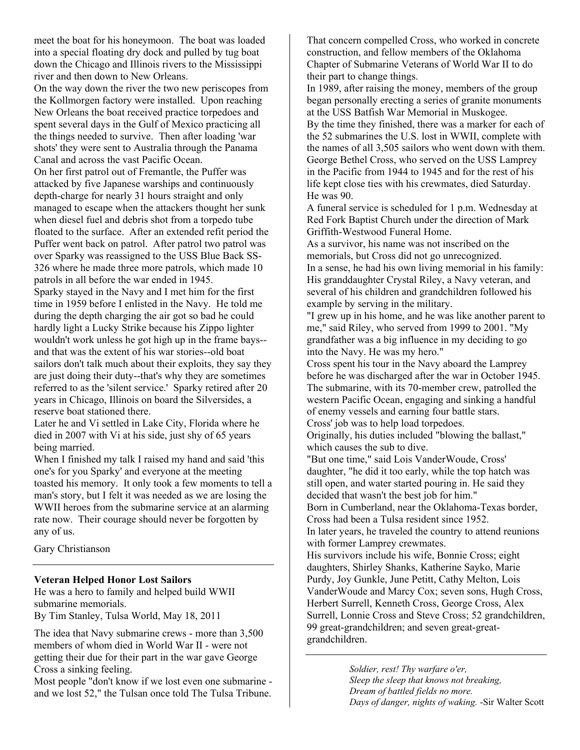meet the boat for his honeymoon. The boat was loaded into a special floating dry dock and pulled by tug boat down the Chicago and Illinois rivers to the Mississippi river and then down to New Orleans.

On the way down the river the two new periscopes from the Kollmorgen factory were installed. Upon reaching New Orleans the boat received practice torpedoes and spent several days in the Gulf of Mexico practicing all the things needed to survive. Then after loading 'war shots' they were sent to Australia through the Panama Canal and across the vast Pacific Ocean.

On her first patrol out of Fremantle, the Puffer was attacked by five Japanese warships and continuously depth-charge for nearly 31 hours straight and only managed to escape when the attackers thought her sunk when diesel fuel and debris shot from a torpedo tube floated to the surface. After an extended refit period the Puffer went back on patrol. After patrol two patrol was over Sparky was reassigned to the USS Blue Back SS-326 where he made three more patrols, which made 10 patrols in all before the war ended in 1945. Sparky stayed in the Navy and I met him for the first time in 1959 before I enlisted in the Navy. He told me during the depth charging the air got so bad he could hardly light a Lucky Strike because his Zippo lighter wouldn't work unless he got high up in the frame bays- and that was the extent of his war stories--old boat sailors don't talk much about their exploits, they say they are just doing their duty--that's why they are sometimes referred to as the 'silent service.' Sparky retired after 20 years in Chicago, Illinois on board the Silversides, a reserve boat stationed there.

Later he and Vi settled in Lake City, Florida where he died in 2007 with Vi at his side, just shy of 65 years being married.

When I finished my talk I raised my hand and said 'this one's for you Sparky' and everyone at the meeting toasted his memory. It only took a few moments to tell a man's story, but I felt it was needed as we are losing the WWII heroes from the submarine service at an alarming rate now. Their courage should never be forgotten by any of us.

Gary Christianson

## **Veteran Helped Honor Lost Sailors**

He was a hero to family and helped build WWII submarine memorials.

By Tim Stanley, Tulsa World, May 18, 2011

The idea that Navy submarine crews - more than 3,500 members of whom died in World War II - were not getting their due for their part in the war gave George Cross a sinking feeling.

Most people "don't know if we lost even one submarine and we lost 52," the Tulsan once told The Tulsa Tribune.

That concern compelled Cross, who worked in concrete construction, and fellow members of the Oklahoma Chapter of Submarine Veterans of World War II to do their part to change things.

In 1989, after raising the money, members of the group began personally erecting a series of granite monuments at the USS Batfish War Memorial in Muskogee.

By the time they finished, there was a marker for each of the 52 submarines the U.S. lost in WWII, complete with the names of all 3,505 sailors who went down with them. George Bethel Cross, who served on the USS Lamprey in the Pacific from 1944 to 1945 and for the rest of his life kept close ties with his crewmates, died Saturday. He was 90.

A funeral service is scheduled for 1 p.m. Wednesday at Red Fork Baptist Church under the direction of Mark Griffith-Westwood Funeral Home.

As a survivor, his name was not inscribed on the memorials, but Cross did not go unrecognized. In a sense, he had his own living memorial in his family: His granddaughter Crystal Riley, a Navy veteran, and several of his children and grandchildren followed his example by serving in the military.

"I grew up in his home, and he was like another parent to me," said Riley, who served from 1999 to 2001. "My grandfather was a big influence in my deciding to go into the Navy. He was my hero."

Cross spent his tour in the Navy aboard the Lamprey before he was discharged after the war in October 1945. The submarine, with its 70-member crew, patrolled the western Pacific Ocean, engaging and sinking a handful of enemy vessels and earning four battle stars.

Cross' job was to help load torpedoes.

Originally, his duties included "blowing the ballast," which causes the sub to dive.

"But one time," said Lois VanderWoude, Cross' daughter, "he did it too early, while the top hatch was still open, and water started pouring in. He said they decided that wasn't the best job for him."

Born in Cumberland, near the Oklahoma-Texas border, Cross had been a Tulsa resident since 1952.

In later years, he traveled the country to attend reunions with former Lamprey crewmates.

His survivors include his wife, Bonnie Cross; eight daughters, Shirley Shanks, Katherine Sayko, Marie Purdy, Joy Gunkle, June Petitt, Cathy Melton, Lois VanderWoude and Marcy Cox; seven sons, Hugh Cross, Herbert Surrell, Kenneth Cross, George Cross, Alex Surrell, Lonnie Cross and Steve Cross; 52 grandchildren, 99 great-grandchildren; and seven great-greatgrandchildren.

> *Soldier, rest! Thy warfare o'er, Sleep the sleep that knows not breaking, Dream of battled fields no more. Days of danger, nights of waking.* -Sir Walter Scott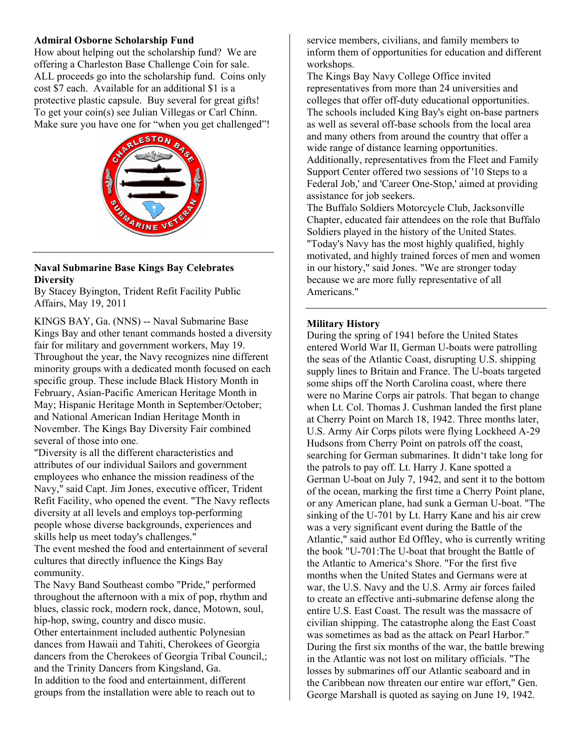## **Admiral Osborne Scholarship Fund**

How about helping out the scholarship fund? We are offering a Charleston Base Challenge Coin for sale. ALL proceeds go into the scholarship fund. Coins only cost \$7 each. Available for an additional \$1 is a protective plastic capsule. Buy several for great gifts! To get your coin(s) see Julian Villegas or Carl Chinn. Make sure you have one for "when you get challenged"!



# **Naval Submarine Base Kings Bay Celebrates Diversity**

By Stacey Byington, Trident Refit Facility Public Affairs, May 19, 2011

KINGS BAY, Ga. (NNS) -- Naval Submarine Base Kings Bay and other tenant commands hosted a diversity fair for military and government workers, May 19. Throughout the year, the Navy recognizes nine different minority groups with a dedicated month focused on each specific group. These include Black History Month in February, Asian-Pacific American Heritage Month in May; Hispanic Heritage Month in September/October; and National American Indian Heritage Month in November. The Kings Bay Diversity Fair combined several of those into one.

"Diversity is all the different characteristics and attributes of our individual Sailors and government employees who enhance the mission readiness of the Navy," said Capt. Jim Jones, executive officer, Trident Refit Facility, who opened the event. "The Navy reflects diversity at all levels and employs top-performing people whose diverse backgrounds, experiences and skills help us meet today's challenges."

The event meshed the food and entertainment of several cultures that directly influence the Kings Bay community.

The Navy Band Southeast combo "Pride," performed throughout the afternoon with a mix of pop, rhythm and blues, classic rock, modern rock, dance, Motown, soul, hip-hop, swing, country and disco music. Other entertainment included authentic Polynesian dances from Hawaii and Tahiti, Cherokees of Georgia dancers from the Cherokees of Georgia Tribal Council,; and the Trinity Dancers from Kingsland, Ga. In addition to the food and entertainment, different groups from the installation were able to reach out to

service members, civilians, and family members to inform them of opportunities for education and different workshops.

The Kings Bay Navy College Office invited representatives from more than 24 universities and colleges that offer off-duty educational opportunities. The schools included King Bay's eight on-base partners as well as several off-base schools from the local area and many others from around the country that offer a wide range of distance learning opportunities. Additionally, representatives from the Fleet and Family Support Center offered two sessions of '10 Steps to a Federal Job,' and 'Career One-Stop,' aimed at providing assistance for job seekers.

The Buffalo Soldiers Motorcycle Club, Jacksonville Chapter, educated fair attendees on the role that Buffalo Soldiers played in the history of the United States. "Today's Navy has the most highly qualified, highly motivated, and highly trained forces of men and women in our history," said Jones. "We are stronger today because we are more fully representative of all Americans."

# **Military History**

During the spring of 1941 before the United States entered World War II, German U-boats were patrolling the seas of the Atlantic Coast, disrupting U.S. shipping supply lines to Britain and France. The U-boats targeted some ships off the North Carolina coast, where there were no Marine Corps air patrols. That began to change when Lt. Col. Thomas J. Cushman landed the first plane at Cherry Point on March 18, 1942. Three months later, U.S. Army Air Corps pilots were flying Lockheed A-29 Hudsons from Cherry Point on patrols off the coast, searching for German submarines. It didn't take long for the patrols to pay off. Lt. Harry J. Kane spotted a German U-boat on July 7, 1942, and sent it to the bottom of the ocean, marking the first time a Cherry Point plane, or any American plane, had sunk a German U-boat. "The sinking of the U-701 by Lt. Harry Kane and his air crew was a very significant event during the Battle of the Atlantic," said author Ed Offley, who is currently writing the book "U-701:The U-boat that brought the Battle of the Atlantic to America's Shore. "For the first five months when the United States and Germans were at war, the U.S. Navy and the U.S. Army air forces failed to create an effective anti-submarine defense along the entire U.S. East Coast. The result was the massacre of civilian shipping. The catastrophe along the East Coast was sometimes as bad as the attack on Pearl Harbor." During the first six months of the war, the battle brewing in the Atlantic was not lost on military officials. "The losses by submarines off our Atlantic seaboard and in the Caribbean now threaten our entire war effort," Gen. George Marshall is quoted as saying on June 19, 1942.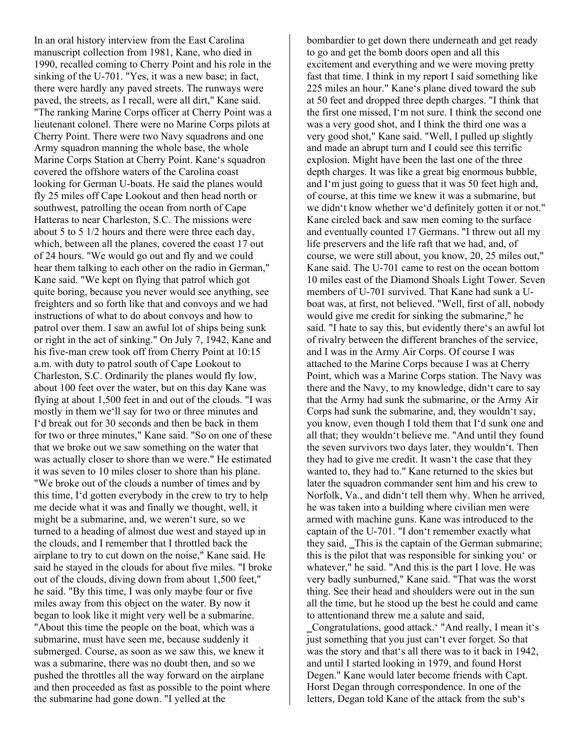In an oral history interview from the East Carolina manuscript collection from 1981, Kane, who died in 1990, recalled coming to Cherry Point and his role in the sinking of the U-701. "Yes, it was a new base; in fact, there were hardly any paved streets. The runways were paved, the streets, as I recall, were all dirt," Kane said. "The ranking Marine Corps officer at Cherry Point was a lieutenant colonel. There were no Marine Corps pilots at Cherry Point. There were two Navy squadrons and one Army squadron manning the whole base, the whole Marine Corps Station at Cherry Point. Kane's squadron covered the offshore waters of the Carolina coast looking for German U-boats. He said the planes would fly 25 miles off Cape Lookout and then head north or southwest, patrolling the ocean from north of Cape Hatteras to near Charleston, S.C. The missions were about 5 to 5 1/2 hours and there were three each day, which, between all the planes, covered the coast 17 out of 24 hours. "We would go out and fly and we could hear them talking to each other on the radio in German," Kane said. "We kept on flying that patrol which got quite boring, because you never would see anything, see freighters and so forth like that and convoys and we had instructions of what to do about convoys and how to patrol over them. I saw an awful lot of ships being sunk or right in the act of sinking." On July 7, 1942, Kane and his five-man crew took off from Cherry Point at 10:15 a.m. with duty to patrol south of Cape Lookout to Charleston, S.C. Ordinarily the planes would fly low, about 100 feet over the water, but on this day Kane was flying at about 1,500 feet in and out of the clouds. "I was mostly in them we'll say for two or three minutes and I'd break out for 30 seconds and then be back in them for two or three minutes," Kane said. "So on one of these that we broke out we saw something on the water that was actually closer to shore than we were." He estimated it was seven to 10 miles closer to shore than his plane. "We broke out of the clouds a number of times and by this time, I'd gotten everybody in the crew to try to help me decide what it was and finally we thought, well, it might be a submarine, and, we weren't sure, so we turned to a heading of almost due west and stayed up in the clouds, and I remember that I throttled back the airplane to try to cut down on the noise," Kane said. He said he stayed in the clouds for about five miles. "I broke out of the clouds, diving down from about 1,500 feet," he said. "By this time, I was only maybe four or five miles away from this object on the water. By now it began to look like it might very well be a submarine. "About this time the people on the boat, which was a submarine, must have seen me, because suddenly it submerged. Course, as soon as we saw this, we knew it was a submarine, there was no doubt then, and so we pushed the throttles all the way forward on the airplane and then proceeded as fast as possible to the point where the submarine had gone down. "I yelled at the

bombardier to get down there underneath and get ready to go and get the bomb doors open and all this excitement and everything and we were moving pretty fast that time. I think in my report I said something like 225 miles an hour." Kane's plane dived toward the sub at 50 feet and dropped three depth charges. "I think that the first one missed, I'm not sure. I think the second one was a very good shot, and I think the third one was a very good shot," Kane said. "Well, I pulled up slightly and made an abrupt turn and I could see this terrific explosion. Might have been the last one of the three depth charges. It was like a great big enormous bubble, and I'm just going to guess that it was 50 feet high and, of course, at this time we knew it was a submarine, but we didn't know whether we'd definitely gotten it or not." Kane circled back and saw men coming to the surface and eventually counted 17 Germans. "I threw out all my life preservers and the life raft that we had, and, of course, we were still about, you know, 20, 25 miles out," Kane said. The U-701 came to rest on the ocean bottom 10 miles east of the Diamond Shoals Light Tower. Seven members of U-701 survived. That Kane had sunk a Uboat was, at first, not believed. "Well, first of all, nobody would give me credit for sinking the submarine," he said. "I hate to say this, but evidently there's an awful lot of rivalry between the different branches of the service, and I was in the Army Air Corps. Of course I was attached to the Marine Corps because I was at Cherry Point, which was a Marine Corps station. The Navy was there and the Navy, to my knowledge, didn't care to say that the Army had sunk the submarine, or the Army Air Corps had sunk the submarine, and, they wouldn't say, you know, even though I told them that I'd sunk one and all that; they wouldn't believe me. "And until they found the seven survivors two days later, they wouldn't. Then they had to give me credit. It wasn't the case that they wanted to, they had to." Kane returned to the skies but later the squadron commander sent him and his crew to Norfolk, Va., and didn't tell them why. When he arrived, he was taken into a building where civilian men were armed with machine guns. Kane was introduced to the captain of the U-701. "I don't remember exactly what they said, This is the captain of the German submarine; this is the pilot that was responsible for sinking you' or whatever," he said. "And this is the part I love. He was very badly sunburned," Kane said. "That was the worst thing. See their head and shoulders were out in the sun all the time, but he stood up the best he could and came to attentionand threw me a salute and said, ‗Congratulations, good attack.' "And really, I mean it's just something that you just can't ever forget. So that was the story and that's all there was to it back in 1942, and until I started looking in 1979, and found Horst Degen." Kane would later become friends with Capt. Horst Degan through correspondence. In one of the letters, Degan told Kane of the attack from the sub's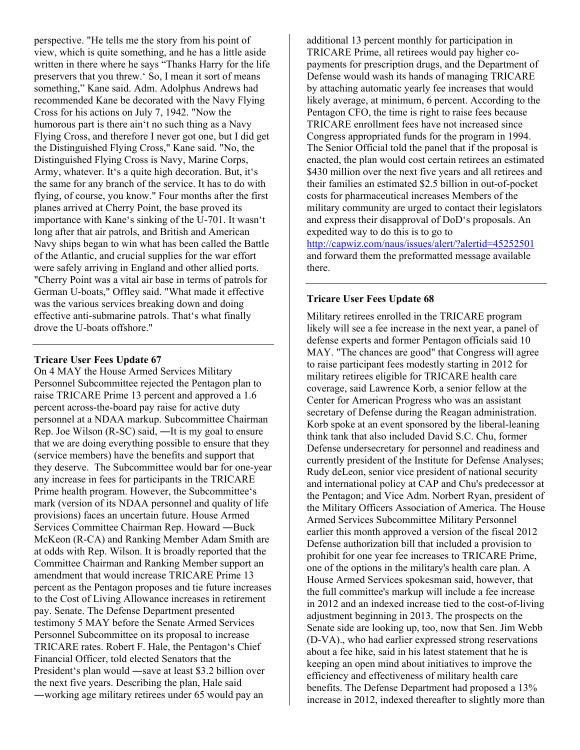perspective. "He tells me the story from his point of view, which is quite something, and he has a little aside written in there where he says "Thanks Harry for the life preservers that you threw.' So, I mean it sort of means something," Kane said. Adm. Adolphus Andrews had recommended Kane be decorated with the Navy Flying Cross for his actions on July 7, 1942. "Now the humorous part is there ain't no such thing as a Navy Flying Cross, and therefore I never got one, but I did get the Distinguished Flying Cross," Kane said. "No, the Distinguished Flying Cross is Navy, Marine Corps, Army, whatever. It's a quite high decoration. But, it's the same for any branch of the service. It has to do with flying, of course, you know." Four months after the first planes arrived at Cherry Point, the base proved its importance with Kane's sinking of the U-701. It wasn't long after that air patrols, and British and American Navy ships began to win what has been called the Battle of the Atlantic, and crucial supplies for the war effort were safely arriving in England and other allied ports. "Cherry Point was a vital air base in terms of patrols for German U-boats," Offley said. "What made it effective was the various services breaking down and doing effective anti-submarine patrols. That's what finally drove the U-boats offshore."

# **Tricare User Fees Update 67**

On 4 MAY the House Armed Services Military Personnel Subcommittee rejected the Pentagon plan to raise TRICARE Prime 13 percent and approved a 1.6 percent across-the-board pay raise for active duty personnel at a NDAA markup. Subcommittee Chairman Rep. Joe Wilson (R-SC) said, ―It is my goal to ensure that we are doing everything possible to ensure that they (service members) have the benefits and support that they deserve. The Subcommittee would bar for one-year any increase in fees for participants in the TRICARE Prime health program. However, the Subcommittee's mark (version of its NDAA personnel and quality of life provisions) faces an uncertain future. House Armed Services Committee Chairman Rep. Howard ―Buck McKeon (R-CA) and Ranking Member Adam Smith are at odds with Rep. Wilson. It is broadly reported that the Committee Chairman and Ranking Member support an amendment that would increase TRICARE Prime 13 percent as the Pentagon proposes and tie future increases to the Cost of Living Allowance increases in retirement pay. Senate. The Defense Department presented testimony 5 MAY before the Senate Armed Services Personnel Subcommittee on its proposal to increase TRICARE rates. Robert F. Hale, the Pentagon's Chief Financial Officer, told elected Senators that the President's plan would ―save at least \$3.2 billion over the next five years. Describing the plan, Hale said ―working age military retirees under 65 would pay an

additional 13 percent monthly for participation in TRICARE Prime, all retirees would pay higher copayments for prescription drugs, and the Department of Defense would wash its hands of managing TRICARE by attaching automatic yearly fee increases that would likely average, at minimum, 6 percent. According to the Pentagon CFO, the time is right to raise fees because TRICARE enrollment fees have not increased since Congress appropriated funds for the program in 1994. The Senior Official told the panel that if the proposal is enacted, the plan would cost certain retirees an estimated \$430 million over the next five years and all retirees and their families an estimated \$2.5 billion in out-of-pocket costs for pharmaceutical increases Members of the military community are urged to contact their legislators and express their disapproval of DoD's proposals. An expedited way to do this is to go to

http://capwiz.com/naus/issues/alert/?alertid=45252501 and forward them the preformatted message available there.

## **Tricare User Fees Update 68**

Military retirees enrolled in the TRICARE program likely will see a fee increase in the next year, a panel of defense experts and former Pentagon officials said 10 MAY. "The chances are good" that Congress will agree to raise participant fees modestly starting in 2012 for military retirees eligible for TRICARE health care coverage, said Lawrence Korb, a senior fellow at the Center for American Progress who was an assistant secretary of Defense during the Reagan administration. Korb spoke at an event sponsored by the liberal-leaning think tank that also included David S.C. Chu, former Defense undersecretary for personnel and readiness and currently president of the Institute for Defense Analyses; Rudy deLeon, senior vice president of national security and international policy at CAP and Chu's predecessor at the Pentagon; and Vice Adm. Norbert Ryan, president of the Military Officers Association of America. The House Armed Services Subcommittee Military Personnel earlier this month approved a version of the fiscal 2012 Defense authorization bill that included a provision to prohibit for one year fee increases to TRICARE Prime, one of the options in the military's health care plan. A House Armed Services spokesman said, however, that the full committee's markup will include a fee increase in 2012 and an indexed increase tied to the cost-of-living adjustment beginning in 2013. The prospects on the Senate side are looking up, too, now that Sen. Jim Webb (D-VA)., who had earlier expressed strong reservations about a fee hike, said in his latest statement that he is keeping an open mind about initiatives to improve the efficiency and effectiveness of military health care benefits. The Defense Department had proposed a 13% increase in 2012, indexed thereafter to slightly more than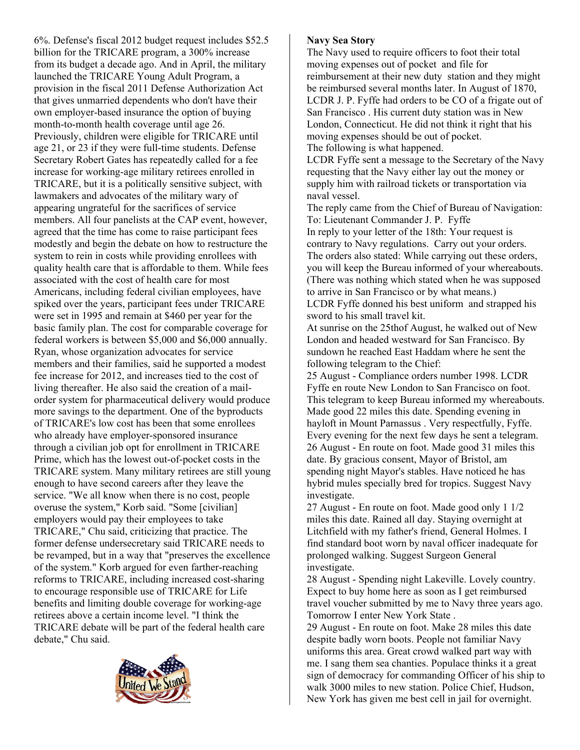6%. Defense's fiscal 2012 budget request includes \$52.5 billion for the TRICARE program, a 300% increase from its budget a decade ago. And in April, the military launched the TRICARE Young Adult Program, a provision in the fiscal 2011 Defense Authorization Act that gives unmarried dependents who don't have their own employer-based insurance the option of buying month-to-month health coverage until age 26. Previously, children were eligible for TRICARE until age 21, or 23 if they were full-time students. Defense Secretary Robert Gates has repeatedly called for a fee increase for working-age military retirees enrolled in TRICARE, but it is a politically sensitive subject, with lawmakers and advocates of the military wary of appearing ungrateful for the sacrifices of service members. All four panelists at the CAP event, however, agreed that the time has come to raise participant fees modestly and begin the debate on how to restructure the system to rein in costs while providing enrollees with quality health care that is affordable to them. While fees associated with the cost of health care for most Americans, including federal civilian employees, have spiked over the years, participant fees under TRICARE were set in 1995 and remain at \$460 per year for the basic family plan. The cost for comparable coverage for federal workers is between \$5,000 and \$6,000 annually. Ryan, whose organization advocates for service members and their families, said he supported a modest fee increase for 2012, and increases tied to the cost of living thereafter. He also said the creation of a mailorder system for pharmaceutical delivery would produce more savings to the department. One of the byproducts of TRICARE's low cost has been that some enrollees who already have employer-sponsored insurance through a civilian job opt for enrollment in TRICARE Prime, which has the lowest out-of-pocket costs in the TRICARE system. Many military retirees are still young enough to have second careers after they leave the service. "We all know when there is no cost, people overuse the system," Korb said. "Some [civilian] employers would pay their employees to take TRICARE," Chu said, criticizing that practice. The former defense undersecretary said TRICARE needs to be revamped, but in a way that "preserves the excellence of the system." Korb argued for even farther-reaching reforms to TRICARE, including increased cost-sharing to encourage responsible use of TRICARE for Life benefits and limiting double coverage for working-age retirees above a certain income level. "I think the TRICARE debate will be part of the federal health care debate," Chu said.



## **Navy Sea Story**

The Navy used to require officers to foot their total moving expenses out of pocket and file for reimbursement at their new duty station and they might be reimbursed several months later. In August of 1870, LCDR J. P. Fyffe had orders to be CO of a frigate out of San Francisco . His current duty station was in New London, Connecticut. He did not think it right that his moving expenses should be out of pocket. The following is what happened.

LCDR Fyffe sent a message to the Secretary of the Navy requesting that the Navy either lay out the money or supply him with railroad tickets or transportation via naval vessel.

The reply came from the Chief of Bureau of Navigation: To: Lieutenant Commander J. P. Fyffe In reply to your letter of the 18th: Your request is contrary to Navy regulations. Carry out your orders. The orders also stated: While carrying out these orders, you will keep the Bureau informed of your whereabouts. (There was nothing which stated when he was supposed to arrive in San Francisco or by what means.)

LCDR Fyffe donned his best uniform and strapped his sword to his small travel kit.

At sunrise on the 25thof August, he walked out of New London and headed westward for San Francisco. By sundown he reached East Haddam where he sent the following telegram to the Chief:

25 August - Compliance orders number 1998. LCDR Fyffe en route New London to San Francisco on foot. This telegram to keep Bureau informed my whereabouts. Made good 22 miles this date. Spending evening in hayloft in Mount Parnassus . Very respectfully, Fyffe. Every evening for the next few days he sent a telegram. 26 August - En route on foot. Made good 31 miles this date. By gracious consent, Mayor of Bristol, am spending night Mayor's stables. Have noticed he has hybrid mules specially bred for tropics. Suggest Navy investigate.

27 August - En route on foot. Made good only 1 1/2 miles this date. Rained all day. Staying overnight at Litchfield with my father's friend, General Holmes. I find standard boot worn by naval officer inadequate for prolonged walking. Suggest Surgeon General investigate.

28 August - Spending night Lakeville. Lovely country. Expect to buy home here as soon as I get reimbursed travel voucher submitted by me to Navy three years ago. Tomorrow I enter New York State .

29 August - En route on foot. Make 28 miles this date despite badly worn boots. People not familiar Navy uniforms this area. Great crowd walked part way with me. I sang them sea chanties. Populace thinks it a great sign of democracy for commanding Officer of his ship to walk 3000 miles to new station. Police Chief, Hudson, New York has given me best cell in jail for overnight.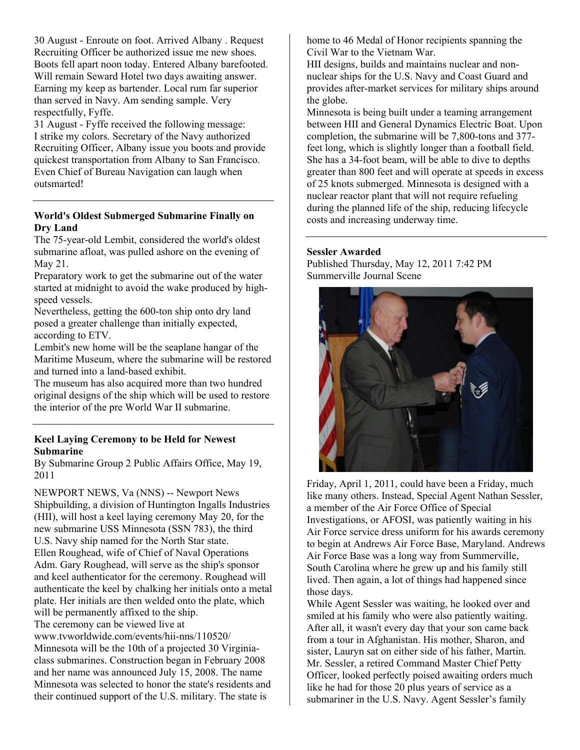30 August - Enroute on foot. Arrived Albany . Request Recruiting Officer be authorized issue me new shoes. Boots fell apart noon today. Entered Albany barefooted. Will remain Seward Hotel two days awaiting answer. Earning my keep as bartender. Local rum far superior than served in Navy. Am sending sample. Very respectfully, Fyffe.

31 August - Fyffe received the following message: I strike my colors. Secretary of the Navy authorized Recruiting Officer, Albany issue you boots and provide quickest transportation from Albany to San Francisco. Even Chief of Bureau Navigation can laugh when outsmarted!

# **World's Oldest Submerged Submarine Finally on Dry Land**

The 75-year-old Lembit, considered the world's oldest submarine afloat, was pulled ashore on the evening of May 21.

Preparatory work to get the submarine out of the water started at midnight to avoid the wake produced by highspeed vessels.

Nevertheless, getting the 600-ton ship onto dry land posed a greater challenge than initially expected, according to ETV.

Lembit's new home will be the seaplane hangar of the Maritime Museum, where the submarine will be restored and turned into a land-based exhibit.

The museum has also acquired more than two hundred original designs of the ship which will be used to restore the interior of the pre World War II submarine.

# **Keel Laying Ceremony to be Held for Newest Submarine**

By Submarine Group 2 Public Affairs Office, May 19, 2011

NEWPORT NEWS, Va (NNS) -- Newport News Shipbuilding, a division of Huntington Ingalls Industries (HII), will host a keel laying ceremony May 20, for the new submarine USS Minnesota (SSN 783), the third U.S. Navy ship named for the North Star state. Ellen Roughead, wife of Chief of Naval Operations Adm. Gary Roughead, will serve as the ship's sponsor and keel authenticator for the ceremony. Roughead will authenticate the keel by chalking her initials onto a metal plate. Her initials are then welded onto the plate, which will be permanently affixed to the ship.

The ceremony can be viewed live at

www.tvworldwide.com/events/hii-nns/110520/ Minnesota will be the 10th of a projected 30 Virginiaclass submarines. Construction began in February 2008 and her name was announced July 15, 2008. The name Minnesota was selected to honor the state's residents and their continued support of the U.S. military. The state is

home to 46 Medal of Honor recipients spanning the Civil War to the Vietnam War.

HII designs, builds and maintains nuclear and nonnuclear ships for the U.S. Navy and Coast Guard and provides after-market services for military ships around the globe.

Minnesota is being built under a teaming arrangement between HII and General Dynamics Electric Boat. Upon completion, the submarine will be 7,800-tons and 377 feet long, which is slightly longer than a football field. She has a 34-foot beam, will be able to dive to depths greater than 800 feet and will operate at speeds in excess of 25 knots submerged. Minnesota is designed with a nuclear reactor plant that will not require refueling during the planned life of the ship, reducing lifecycle costs and increasing underway time.

# **Sessler Awarded**

Published Thursday, May 12, 2011 7:42 PM Summerville Journal Scene



Friday, April 1, 2011, could have been a Friday, much like many others. Instead, Special Agent Nathan Sessler, a member of the Air Force Office of Special Investigations, or AFOSI, was patiently waiting in his Air Force service dress uniform for his awards ceremony to begin at Andrews Air Force Base, Maryland. Andrews Air Force Base was a long way from Summerville, South Carolina where he grew up and his family still lived. Then again, a lot of things had happened since those days.

While Agent Sessler was waiting, he looked over and smiled at his family who were also patiently waiting. After all, it wasn't every day that your son came back from a tour in Afghanistan. His mother, Sharon, and sister, Lauryn sat on either side of his father, Martin. Mr. Sessler, a retired Command Master Chief Petty Officer, looked perfectly poised awaiting orders much like he had for those 20 plus years of service as a submariner in the U.S. Navy. Agent Sessler's family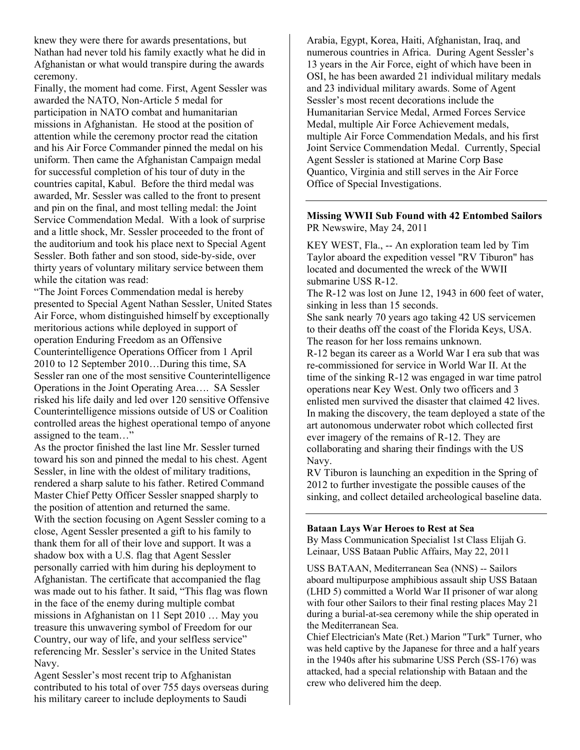knew they were there for awards presentations, but Nathan had never told his family exactly what he did in Afghanistan or what would transpire during the awards ceremony.

Finally, the moment had come. First, Agent Sessler was awarded the NATO, Non-Article 5 medal for participation in NATO combat and humanitarian missions in Afghanistan. He stood at the position of attention while the ceremony proctor read the citation and his Air Force Commander pinned the medal on his uniform. Then came the Afghanistan Campaign medal for successful completion of his tour of duty in the countries capital, Kabul. Before the third medal was awarded, Mr. Sessler was called to the front to present and pin on the final, and most telling medal: the Joint Service Commendation Medal. With a look of surprise and a little shock, Mr. Sessler proceeded to the front of the auditorium and took his place next to Special Agent Sessler. Both father and son stood, side-by-side, over thirty years of voluntary military service between them while the citation was read:

"The Joint Forces Commendation medal is hereby presented to Special Agent Nathan Sessler, United States Air Force, whom distinguished himself by exceptionally meritorious actions while deployed in support of operation Enduring Freedom as an Offensive Counterintelligence Operations Officer from 1 April 2010 to 12 September 2010…During this time, SA Sessler ran one of the most sensitive Counterintelligence Operations in the Joint Operating Area…. SA Sessler risked his life daily and led over 120 sensitive Offensive Counterintelligence missions outside of US or Coalition controlled areas the highest operational tempo of anyone assigned to the team…"

As the proctor finished the last line Mr. Sessler turned toward his son and pinned the medal to his chest. Agent Sessler, in line with the oldest of military traditions, rendered a sharp salute to his father. Retired Command Master Chief Petty Officer Sessler snapped sharply to the position of attention and returned the same. With the section focusing on Agent Sessler coming to a close, Agent Sessler presented a gift to his family to thank them for all of their love and support. It was a shadow box with a U.S. flag that Agent Sessler personally carried with him during his deployment to Afghanistan. The certificate that accompanied the flag was made out to his father. It said, "This flag was flown in the face of the enemy during multiple combat missions in Afghanistan on 11 Sept 2010 … May you treasure this unwavering symbol of Freedom for our Country, our way of life, and your selfless service" referencing Mr. Sessler's service in the United States Navy.

Agent Sessler's most recent trip to Afghanistan contributed to his total of over 755 days overseas during his military career to include deployments to Saudi

Arabia, Egypt, Korea, Haiti, Afghanistan, Iraq, and numerous countries in Africa. During Agent Sessler's 13 years in the Air Force, eight of which have been in OSI, he has been awarded 21 individual military medals and 23 individual military awards. Some of Agent Sessler's most recent decorations include the Humanitarian Service Medal, Armed Forces Service Medal, multiple Air Force Achievement medals, multiple Air Force Commendation Medals, and his first Joint Service Commendation Medal. Currently, Special Agent Sessler is stationed at Marine Corp Base Quantico, Virginia and still serves in the Air Force Office of Special Investigations.

## **Missing WWII Sub Found with 42 Entombed Sailors**  PR Newswire, May 24, 2011

KEY WEST, Fla., -- An exploration team led by Tim Taylor aboard the expedition vessel "RV Tiburon" has located and documented the wreck of the WWII submarine USS R-12.

The R-12 was lost on June 12, 1943 in 600 feet of water, sinking in less than 15 seconds.

She sank nearly 70 years ago taking 42 US servicemen to their deaths off the coast of the Florida Keys, USA. The reason for her loss remains unknown.

R-12 began its career as a World War I era sub that was re-commissioned for service in World War II. At the time of the sinking R-12 was engaged in war time patrol operations near Key West. Only two officers and 3 enlisted men survived the disaster that claimed 42 lives. In making the discovery, the team deployed a state of the art autonomous underwater robot which collected first ever imagery of the remains of R-12. They are collaborating and sharing their findings with the US Navy.

RV Tiburon is launching an expedition in the Spring of 2012 to further investigate the possible causes of the sinking, and collect detailed archeological baseline data.

## **Bataan Lays War Heroes to Rest at Sea**

By Mass Communication Specialist 1st Class Elijah G. Leinaar, USS Bataan Public Affairs, May 22, 2011

USS BATAAN, Mediterranean Sea (NNS) -- Sailors aboard multipurpose amphibious assault ship USS Bataan (LHD 5) committed a World War II prisoner of war along with four other Sailors to their final resting places May 21 during a burial-at-sea ceremony while the ship operated in the Mediterranean Sea.

Chief Electrician's Mate (Ret.) Marion "Turk" Turner, who was held captive by the Japanese for three and a half years in the 1940s after his submarine USS Perch (SS-176) was attacked, had a special relationship with Bataan and the crew who delivered him the deep.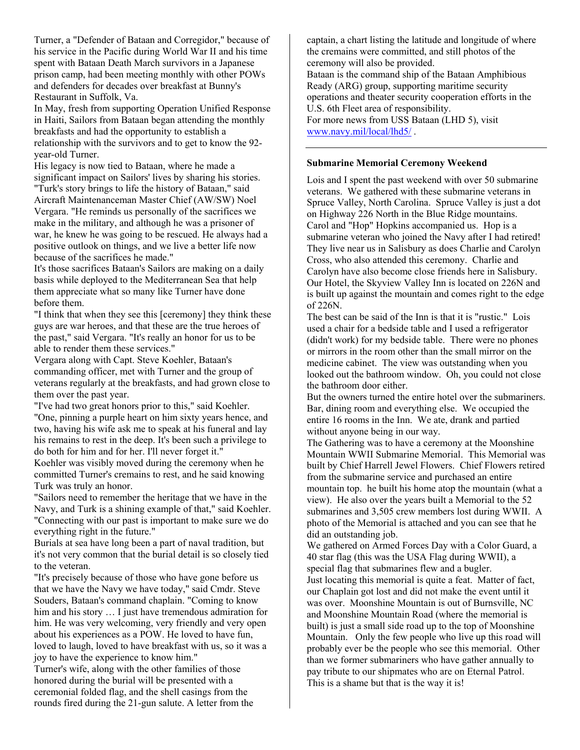Turner, a "Defender of Bataan and Corregidor," because of his service in the Pacific during World War II and his time spent with Bataan Death March survivors in a Japanese prison camp, had been meeting monthly with other POWs and defenders for decades over breakfast at Bunny's Restaurant in Suffolk, Va.

In May, fresh from supporting Operation Unified Response in Haiti, Sailors from Bataan began attending the monthly breakfasts and had the opportunity to establish a relationship with the survivors and to get to know the 92 year-old Turner.

His legacy is now tied to Bataan, where he made a significant impact on Sailors' lives by sharing his stories. "Turk's story brings to life the history of Bataan," said Aircraft Maintenanceman Master Chief (AW/SW) Noel Vergara. "He reminds us personally of the sacrifices we make in the military, and although he was a prisoner of war, he knew he was going to be rescued. He always had a positive outlook on things, and we live a better life now because of the sacrifices he made."

It's those sacrifices Bataan's Sailors are making on a daily basis while deployed to the Mediterranean Sea that help them appreciate what so many like Turner have done before them.

"I think that when they see this [ceremony] they think these guys are war heroes, and that these are the true heroes of the past," said Vergara. "It's really an honor for us to be able to render them these services."

Vergara along with Capt. Steve Koehler, Bataan's commanding officer, met with Turner and the group of veterans regularly at the breakfasts, and had grown close to them over the past year.

"I've had two great honors prior to this," said Koehler. "One, pinning a purple heart on him sixty years hence, and two, having his wife ask me to speak at his funeral and lay his remains to rest in the deep. It's been such a privilege to do both for him and for her. I'll never forget it."

Koehler was visibly moved during the ceremony when he committed Turner's cremains to rest, and he said knowing Turk was truly an honor.

"Sailors need to remember the heritage that we have in the Navy, and Turk is a shining example of that," said Koehler. "Connecting with our past is important to make sure we do everything right in the future."

Burials at sea have long been a part of naval tradition, but it's not very common that the burial detail is so closely tied to the veteran.

"It's precisely because of those who have gone before us that we have the Navy we have today," said Cmdr. Steve Souders, Bataan's command chaplain. "Coming to know him and his story  $\dots$  I just have tremendous admiration for him. He was very welcoming, very friendly and very open about his experiences as a POW. He loved to have fun, loved to laugh, loved to have breakfast with us, so it was a joy to have the experience to know him."

Turner's wife, along with the other families of those honored during the burial will be presented with a ceremonial folded flag, and the shell casings from the rounds fired during the 21-gun salute. A letter from the captain, a chart listing the latitude and longitude of where the cremains were committed, and still photos of the ceremony will also be provided. Bataan is the command ship of the Bataan Amphibious Ready (ARG) group, supporting maritime security operations and theater security cooperation efforts in the U.S. 6th Fleet area of responsibility. For more news from USS Bataan (LHD 5), visit www.navy.mil/local/lhd5/ .

#### **Submarine Memorial Ceremony Weekend**

Lois and I spent the past weekend with over 50 submarine veterans. We gathered with these submarine veterans in Spruce Valley, North Carolina. Spruce Valley is just a dot on Highway 226 North in the Blue Ridge mountains. Carol and "Hop" Hopkins accompanied us. Hop is a submarine veteran who joined the Navy after I had retired! They live near us in Salisbury as does Charlie and Carolyn Cross, who also attended this ceremony. Charlie and Carolyn have also become close friends here in Salisbury. Our Hotel, the Skyview Valley Inn is located on 226N and is built up against the mountain and comes right to the edge of 226N.

The best can be said of the Inn is that it is "rustic." Lois used a chair for a bedside table and I used a refrigerator (didn't work) for my bedside table. There were no phones or mirrors in the room other than the small mirror on the medicine cabinet. The view was outstanding when you looked out the bathroom window. Oh, you could not close the bathroom door either.

But the owners turned the entire hotel over the submariners. Bar, dining room and everything else. We occupied the entire 16 rooms in the Inn. We ate, drank and partied without anyone being in our way.

The Gathering was to have a ceremony at the Moonshine Mountain WWII Submarine Memorial. This Memorial was built by Chief Harrell Jewel Flowers. Chief Flowers retired from the submarine service and purchased an entire mountain top. he built his home atop the mountain (what a view). He also over the years built a Memorial to the 52 submarines and 3,505 crew members lost during WWII. A photo of the Memorial is attached and you can see that he did an outstanding job.

We gathered on Armed Forces Day with a Color Guard, a 40 star flag (this was the USA Flag during WWII), a special flag that submarines flew and a bugler. Just locating this memorial is quite a feat. Matter of fact, our Chaplain got lost and did not make the event until it was over. Moonshine Mountain is out of Burnsville, NC and Moonshine Mountain Road (where the memorial is built) is just a small side road up to the top of Moonshine Mountain. Only the few people who live up this road will probably ever be the people who see this memorial. Other than we former submariners who have gather annually to pay tribute to our shipmates who are on Eternal Patrol. This is a shame but that is the way it is!